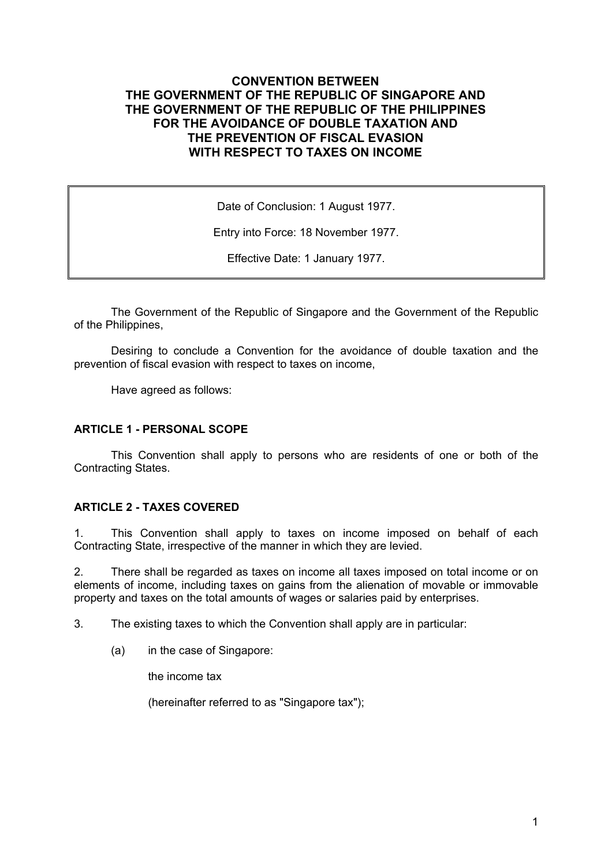# **CONVENTION BETWEEN THE GOVERNMENT OF THE REPUBLIC OF SINGAPORE AND THE GOVERNMENT OF THE REPUBLIC OF THE PHILIPPINES FOR THE AVOIDANCE OF DOUBLE TAXATION AND THE PREVENTION OF FISCAL EVASION WITH RESPECT TO TAXES ON INCOME**

Date of Conclusion: 1 August 1977.

Entry into Force: 18 November 1977.

Effective Date: 1 January 1977.

The Government of the Republic of Singapore and the Government of the Republic of the Philippines,

Desiring to conclude a Convention for the avoidance of double taxation and the prevention of fiscal evasion with respect to taxes on income,

Have agreed as follows:

#### **ARTICLE 1 - PERSONAL SCOPE**

This Convention shall apply to persons who are residents of one or both of the Contracting States.

#### **ARTICLE 2 - TAXES COVERED**

1. This Convention shall apply to taxes on income imposed on behalf of each Contracting State, irrespective of the manner in which they are levied.

2. There shall be regarded as taxes on income all taxes imposed on total income or on elements of income, including taxes on gains from the alienation of movable or immovable property and taxes on the total amounts of wages or salaries paid by enterprises.

3. The existing taxes to which the Convention shall apply are in particular:

(a) in the case of Singapore:

the income tax

(hereinafter referred to as "Singapore tax");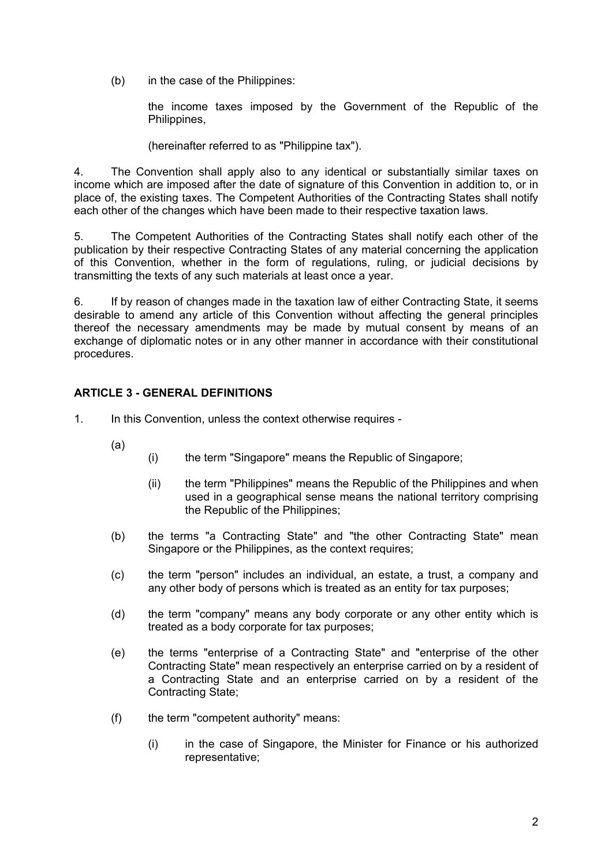(b) in the case of the Philippines:

the income taxes imposed by the Government of the Republic of the Philippines,

(hereinafter referred to as "Philippine tax").

4. The Convention shall apply also to any identical or substantially similar taxes on income which are imposed after the date of signature of this Convention in addition to, or in place of, the existing taxes. The Competent Authorities of the Contracting States shall notify each other of the changes which have been made to their respective taxation laws.

5. The Competent Authorities of the Contracting States shall notify each other of the publication by their respective Contracting States of any material concerning the application of this Convention, whether in the form of regulations, ruling, or judicial decisions by transmitting the texts of any such materials at least once a year.

6. If by reason of changes made in the taxation law of either Contracting State, it seems desirable to amend any article of this Convention without affecting the general principles thereof the necessary amendments may be made by mutual consent by means of an exchange of diplomatic notes or in any other manner in accordance with their constitutional procedures.

# **ARTICLE 3 - GENERAL DEFINITIONS**

- 1. In this Convention, unless the context otherwise requires
	- (a)
- (i) the term "Singapore" means the Republic of Singapore;
	- (ii) the term "Philippines" means the Republic of the Philippines and when used in a geographical sense means the national territory comprising the Republic of the Philippines;
- (b) the terms "a Contracting State" and "the other Contracting State" mean Singapore or the Philippines, as the context requires;
- (c) the term "person" includes an individual, an estate, a trust, a company and any other body of persons which is treated as an entity for tax purposes;
- (d) the term "company" means any body corporate or any other entity which is treated as a body corporate for tax purposes;
- (e) the terms "enterprise of a Contracting State" and "enterprise of the other Contracting State" mean respectively an enterprise carried on by a resident of a Contracting State and an enterprise carried on by a resident of the Contracting State;
- (f) the term "competent authority" means:
	- (i) in the case of Singapore, the Minister for Finance or his authorized representative;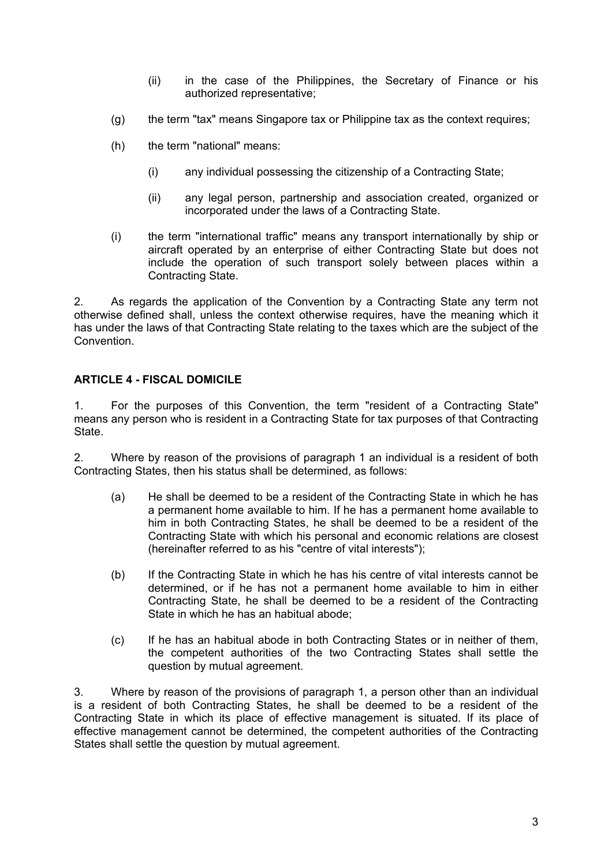- (ii) in the case of the Philippines, the Secretary of Finance or his authorized representative;
- (g) the term "tax" means Singapore tax or Philippine tax as the context requires;
- (h) the term "national" means:
	- (i) any individual possessing the citizenship of a Contracting State;
	- (ii) any legal person, partnership and association created, organized or incorporated under the laws of a Contracting State.
- (i) the term "international traffic" means any transport internationally by ship or aircraft operated by an enterprise of either Contracting State but does not include the operation of such transport solely between places within a Contracting State.

2. As regards the application of the Convention by a Contracting State any term not otherwise defined shall, unless the context otherwise requires, have the meaning which it has under the laws of that Contracting State relating to the taxes which are the subject of the Convention.

# **ARTICLE 4 - FISCAL DOMICILE**

1. For the purposes of this Convention, the term "resident of a Contracting State" means any person who is resident in a Contracting State for tax purposes of that Contracting State.

2. Where by reason of the provisions of paragraph 1 an individual is a resident of both Contracting States, then his status shall be determined, as follows:

- (a) He shall be deemed to be a resident of the Contracting State in which he has a permanent home available to him. If he has a permanent home available to him in both Contracting States, he shall be deemed to be a resident of the Contracting State with which his personal and economic relations are closest (hereinafter referred to as his "centre of vital interests");
- (b) If the Contracting State in which he has his centre of vital interests cannot be determined, or if he has not a permanent home available to him in either Contracting State, he shall be deemed to be a resident of the Contracting State in which he has an habitual abode;
- (c) If he has an habitual abode in both Contracting States or in neither of them, the competent authorities of the two Contracting States shall settle the question by mutual agreement.

3. Where by reason of the provisions of paragraph 1, a person other than an individual is a resident of both Contracting States, he shall be deemed to be a resident of the Contracting State in which its place of effective management is situated. If its place of effective management cannot be determined, the competent authorities of the Contracting States shall settle the question by mutual agreement.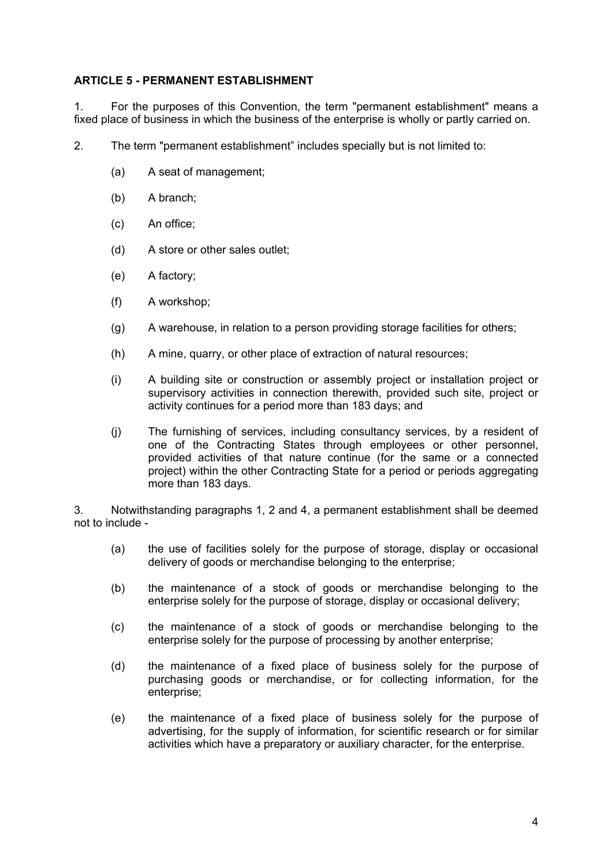### **ARTICLE 5 - PERMANENT ESTABLISHMENT**

1. For the purposes of this Convention, the term "permanent establishment" means a fixed place of business in which the business of the enterprise is wholly or partly carried on.

- 2. The term "permanent establishment" includes specially but is not limited to:
	- (a) A seat of management;
	- (b) A branch;
	- (c) An office;
	- (d) A store or other sales outlet;
	- (e) A factory;
	- (f) A workshop;
	- (g) A warehouse, in relation to a person providing storage facilities for others;
	- (h) A mine, quarry, or other place of extraction of natural resources;
	- (i) A building site or construction or assembly project or installation project or supervisory activities in connection therewith, provided such site, project or activity continues for a period more than 183 days; and
	- (j) The furnishing of services, including consultancy services, by a resident of one of the Contracting States through employees or other personnel, provided activities of that nature continue (for the same or a connected project) within the other Contracting State for a period or periods aggregating more than 183 days.

3. Notwithstanding paragraphs 1, 2 and 4, a permanent establishment shall be deemed not to include -

- (a) the use of facilities solely for the purpose of storage, display or occasional delivery of goods or merchandise belonging to the enterprise;
- (b) the maintenance of a stock of goods or merchandise belonging to the enterprise solely for the purpose of storage, display or occasional delivery;
- (c) the maintenance of a stock of goods or merchandise belonging to the enterprise solely for the purpose of processing by another enterprise;
- (d) the maintenance of a fixed place of business solely for the purpose of purchasing goods or merchandise, or for collecting information, for the enterprise;
- (e) the maintenance of a fixed place of business solely for the purpose of advertising, for the supply of information, for scientific research or for similar activities which have a preparatory or auxiliary character, for the enterprise.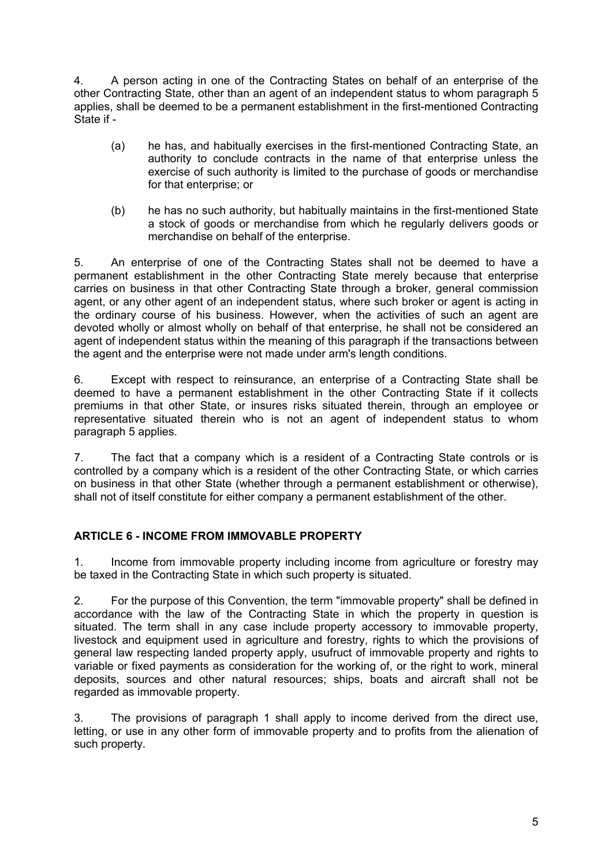4. A person acting in one of the Contracting States on behalf of an enterprise of the other Contracting State, other than an agent of an independent status to whom paragraph 5 applies, shall be deemed to be a permanent establishment in the first-mentioned Contracting State if -

- (a) he has, and habitually exercises in the first-mentioned Contracting State, an authority to conclude contracts in the name of that enterprise unless the exercise of such authority is limited to the purchase of goods or merchandise for that enterprise; or
- (b) he has no such authority, but habitually maintains in the first-mentioned State a stock of goods or merchandise from which he regularly delivers goods or merchandise on behalf of the enterprise.

5. An enterprise of one of the Contracting States shall not be deemed to have a permanent establishment in the other Contracting State merely because that enterprise carries on business in that other Contracting State through a broker, general commission agent, or any other agent of an independent status, where such broker or agent is acting in the ordinary course of his business. However, when the activities of such an agent are devoted wholly or almost wholly on behalf of that enterprise, he shall not be considered an agent of independent status within the meaning of this paragraph if the transactions between the agent and the enterprise were not made under arm's length conditions.

6. Except with respect to reinsurance, an enterprise of a Contracting State shall be deemed to have a permanent establishment in the other Contracting State if it collects premiums in that other State, or insures risks situated therein, through an employee or representative situated therein who is not an agent of independent status to whom paragraph 5 applies.

7. The fact that a company which is a resident of a Contracting State controls or is controlled by a company which is a resident of the other Contracting State, or which carries on business in that other State (whether through a permanent establishment or otherwise), shall not of itself constitute for either company a permanent establishment of the other.

# **ARTICLE 6 - INCOME FROM IMMOVABLE PROPERTY**

1. Income from immovable property including income from agriculture or forestry may be taxed in the Contracting State in which such property is situated.

2. For the purpose of this Convention, the term "immovable property" shall be defined in accordance with the law of the Contracting State in which the property in question is situated. The term shall in any case include property accessory to immovable property, livestock and equipment used in agriculture and forestry, rights to which the provisions of general law respecting landed property apply, usufruct of immovable property and rights to variable or fixed payments as consideration for the working of, or the right to work, mineral deposits, sources and other natural resources; ships, boats and aircraft shall not be regarded as immovable property.

3. The provisions of paragraph 1 shall apply to income derived from the direct use, letting, or use in any other form of immovable property and to profits from the alienation of such property.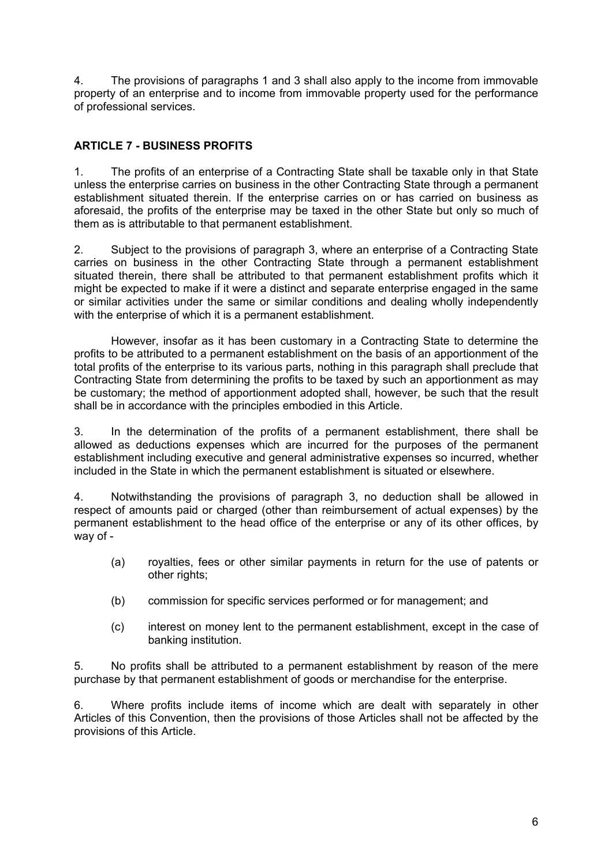4. The provisions of paragraphs 1 and 3 shall also apply to the income from immovable property of an enterprise and to income from immovable property used for the performance of professional services.

# **ARTICLE 7 - BUSINESS PROFITS**

1. The profits of an enterprise of a Contracting State shall be taxable only in that State unless the enterprise carries on business in the other Contracting State through a permanent establishment situated therein. If the enterprise carries on or has carried on business as aforesaid, the profits of the enterprise may be taxed in the other State but only so much of them as is attributable to that permanent establishment.

2. Subject to the provisions of paragraph 3, where an enterprise of a Contracting State carries on business in the other Contracting State through a permanent establishment situated therein, there shall be attributed to that permanent establishment profits which it might be expected to make if it were a distinct and separate enterprise engaged in the same or similar activities under the same or similar conditions and dealing wholly independently with the enterprise of which it is a permanent establishment.

However, insofar as it has been customary in a Contracting State to determine the profits to be attributed to a permanent establishment on the basis of an apportionment of the total profits of the enterprise to its various parts, nothing in this paragraph shall preclude that Contracting State from determining the profits to be taxed by such an apportionment as may be customary; the method of apportionment adopted shall, however, be such that the result shall be in accordance with the principles embodied in this Article.

3. In the determination of the profits of a permanent establishment, there shall be allowed as deductions expenses which are incurred for the purposes of the permanent establishment including executive and general administrative expenses so incurred, whether included in the State in which the permanent establishment is situated or elsewhere.

4. Notwithstanding the provisions of paragraph 3, no deduction shall be allowed in respect of amounts paid or charged (other than reimbursement of actual expenses) by the permanent establishment to the head office of the enterprise or any of its other offices, by way of -

- (a) royalties, fees or other similar payments in return for the use of patents or other rights;
- (b) commission for specific services performed or for management; and
- (c) interest on money lent to the permanent establishment, except in the case of banking institution.

5. No profits shall be attributed to a permanent establishment by reason of the mere purchase by that permanent establishment of goods or merchandise for the enterprise.

6. Where profits include items of income which are dealt with separately in other Articles of this Convention, then the provisions of those Articles shall not be affected by the provisions of this Article.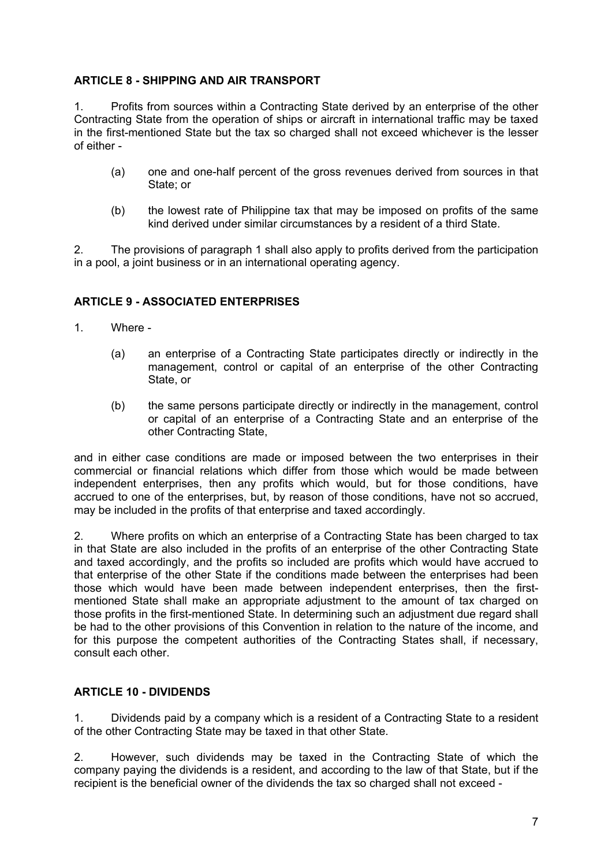### **ARTICLE 8 - SHIPPING AND AIR TRANSPORT**

1. Profits from sources within a Contracting State derived by an enterprise of the other Contracting State from the operation of ships or aircraft in international traffic may be taxed in the first-mentioned State but the tax so charged shall not exceed whichever is the lesser of either -

- (a) one and one-half percent of the gross revenues derived from sources in that State; or
- (b) the lowest rate of Philippine tax that may be imposed on profits of the same kind derived under similar circumstances by a resident of a third State.

2. The provisions of paragraph 1 shall also apply to profits derived from the participation in a pool, a joint business or in an international operating agency.

### **ARTICLE 9 - ASSOCIATED ENTERPRISES**

- 1. Where
	- (a) an enterprise of a Contracting State participates directly or indirectly in the management, control or capital of an enterprise of the other Contracting State, or
	- (b) the same persons participate directly or indirectly in the management, control or capital of an enterprise of a Contracting State and an enterprise of the other Contracting State,

and in either case conditions are made or imposed between the two enterprises in their commercial or financial relations which differ from those which would be made between independent enterprises, then any profits which would, but for those conditions, have accrued to one of the enterprises, but, by reason of those conditions, have not so accrued, may be included in the profits of that enterprise and taxed accordingly.

2. Where profits on which an enterprise of a Contracting State has been charged to tax in that State are also included in the profits of an enterprise of the other Contracting State and taxed accordingly, and the profits so included are profits which would have accrued to that enterprise of the other State if the conditions made between the enterprises had been those which would have been made between independent enterprises, then the firstmentioned State shall make an appropriate adjustment to the amount of tax charged on those profits in the first-mentioned State. In determining such an adjustment due regard shall be had to the other provisions of this Convention in relation to the nature of the income, and for this purpose the competent authorities of the Contracting States shall, if necessary, consult each other.

# **ARTICLE 10 - DIVIDENDS**

1. Dividends paid by a company which is a resident of a Contracting State to a resident of the other Contracting State may be taxed in that other State.

2. However, such dividends may be taxed in the Contracting State of which the company paying the dividends is a resident, and according to the law of that State, but if the recipient is the beneficial owner of the dividends the tax so charged shall not exceed -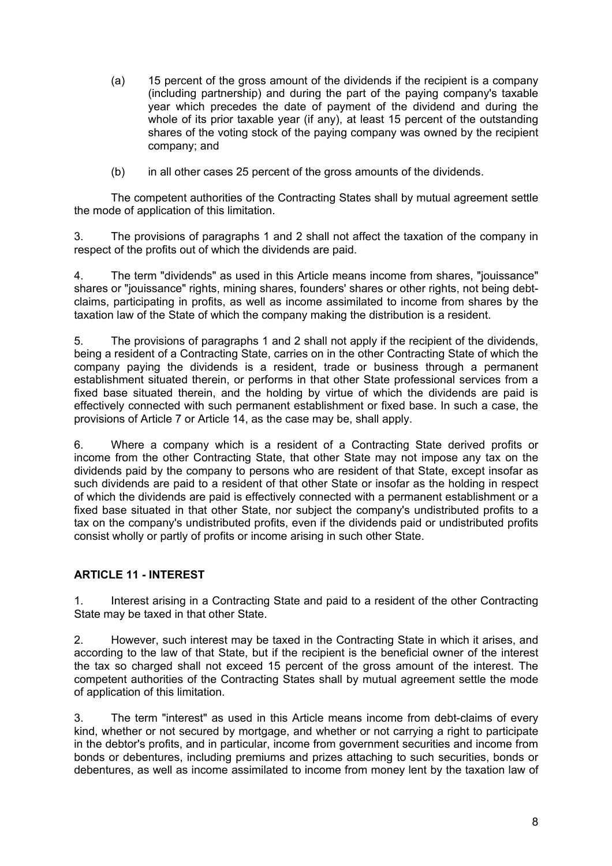- (a) 15 percent of the gross amount of the dividends if the recipient is a company (including partnership) and during the part of the paying company's taxable year which precedes the date of payment of the dividend and during the whole of its prior taxable year (if any), at least 15 percent of the outstanding shares of the voting stock of the paying company was owned by the recipient company; and
- (b) in all other cases 25 percent of the gross amounts of the dividends.

The competent authorities of the Contracting States shall by mutual agreement settle the mode of application of this limitation.

3. The provisions of paragraphs 1 and 2 shall not affect the taxation of the company in respect of the profits out of which the dividends are paid.

4. The term "dividends" as used in this Article means income from shares, "jouissance" shares or "jouissance" rights, mining shares, founders' shares or other rights, not being debtclaims, participating in profits, as well as income assimilated to income from shares by the taxation law of the State of which the company making the distribution is a resident.

5. The provisions of paragraphs 1 and 2 shall not apply if the recipient of the dividends, being a resident of a Contracting State, carries on in the other Contracting State of which the company paying the dividends is a resident, trade or business through a permanent establishment situated therein, or performs in that other State professional services from a fixed base situated therein, and the holding by virtue of which the dividends are paid is effectively connected with such permanent establishment or fixed base. In such a case, the provisions of Article 7 or Article 14, as the case may be, shall apply.

6. Where a company which is a resident of a Contracting State derived profits or income from the other Contracting State, that other State may not impose any tax on the dividends paid by the company to persons who are resident of that State, except insofar as such dividends are paid to a resident of that other State or insofar as the holding in respect of which the dividends are paid is effectively connected with a permanent establishment or a fixed base situated in that other State, nor subject the company's undistributed profits to a tax on the company's undistributed profits, even if the dividends paid or undistributed profits consist wholly or partly of profits or income arising in such other State.

# **ARTICLE 11 - INTEREST**

1. Interest arising in a Contracting State and paid to a resident of the other Contracting State may be taxed in that other State.

2. However, such interest may be taxed in the Contracting State in which it arises, and according to the law of that State, but if the recipient is the beneficial owner of the interest the tax so charged shall not exceed 15 percent of the gross amount of the interest. The competent authorities of the Contracting States shall by mutual agreement settle the mode of application of this limitation.

3. The term "interest" as used in this Article means income from debt-claims of every kind, whether or not secured by mortgage, and whether or not carrying a right to participate in the debtor's profits, and in particular, income from government securities and income from bonds or debentures, including premiums and prizes attaching to such securities, bonds or debentures, as well as income assimilated to income from money lent by the taxation law of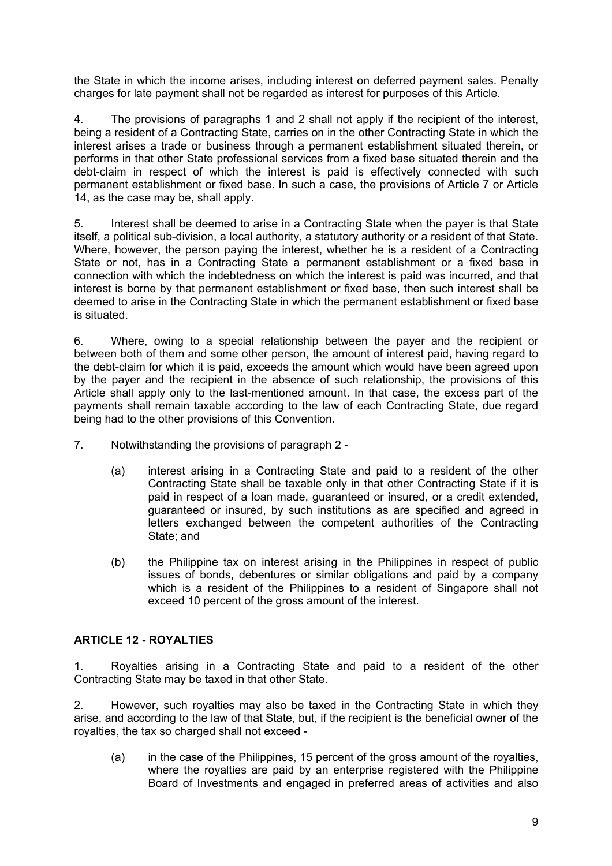the State in which the income arises, including interest on deferred payment sales. Penalty charges for late payment shall not be regarded as interest for purposes of this Article.

4. The provisions of paragraphs 1 and 2 shall not apply if the recipient of the interest, being a resident of a Contracting State, carries on in the other Contracting State in which the interest arises a trade or business through a permanent establishment situated therein, or performs in that other State professional services from a fixed base situated therein and the debt-claim in respect of which the interest is paid is effectively connected with such permanent establishment or fixed base. In such a case, the provisions of Article 7 or Article 14, as the case may be, shall apply.

5. Interest shall be deemed to arise in a Contracting State when the payer is that State itself, a political sub-division, a local authority, a statutory authority or a resident of that State. Where, however, the person paying the interest, whether he is a resident of a Contracting State or not, has in a Contracting State a permanent establishment or a fixed base in connection with which the indebtedness on which the interest is paid was incurred, and that interest is borne by that permanent establishment or fixed base, then such interest shall be deemed to arise in the Contracting State in which the permanent establishment or fixed base is situated.

6. Where, owing to a special relationship between the payer and the recipient or between both of them and some other person, the amount of interest paid, having regard to the debt-claim for which it is paid, exceeds the amount which would have been agreed upon by the payer and the recipient in the absence of such relationship, the provisions of this Article shall apply only to the last-mentioned amount. In that case, the excess part of the payments shall remain taxable according to the law of each Contracting State, due regard being had to the other provisions of this Convention.

- 7. Notwithstanding the provisions of paragraph 2
	- (a) interest arising in a Contracting State and paid to a resident of the other Contracting State shall be taxable only in that other Contracting State if it is paid in respect of a loan made, guaranteed or insured, or a credit extended, guaranteed or insured, by such institutions as are specified and agreed in letters exchanged between the competent authorities of the Contracting State; and
	- (b) the Philippine tax on interest arising in the Philippines in respect of public issues of bonds, debentures or similar obligations and paid by a company which is a resident of the Philippines to a resident of Singapore shall not exceed 10 percent of the gross amount of the interest.

# **ARTICLE 12 - ROYALTIES**

1. Royalties arising in a Contracting State and paid to a resident of the other Contracting State may be taxed in that other State.

2. However, such royalties may also be taxed in the Contracting State in which they arise, and according to the law of that State, but, if the recipient is the beneficial owner of the royalties, the tax so charged shall not exceed -

(a) in the case of the Philippines, 15 percent of the gross amount of the royalties, where the royalties are paid by an enterprise registered with the Philippine Board of Investments and engaged in preferred areas of activities and also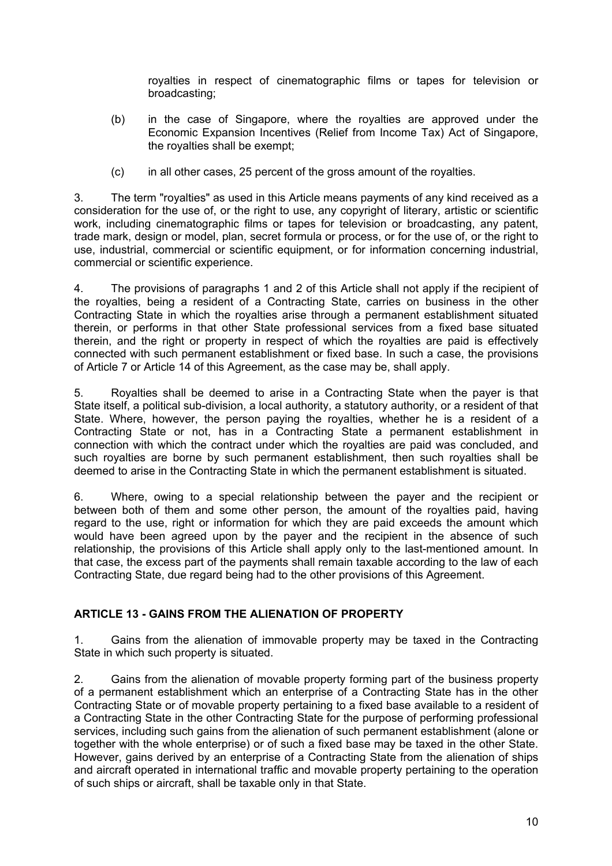royalties in respect of cinematographic films or tapes for television or broadcasting;

- (b) in the case of Singapore, where the royalties are approved under the Economic Expansion Incentives (Relief from Income Tax) Act of Singapore, the royalties shall be exempt;
- (c) in all other cases, 25 percent of the gross amount of the royalties.

3. The term "royalties" as used in this Article means payments of any kind received as a consideration for the use of, or the right to use, any copyright of literary, artistic or scientific work, including cinematographic films or tapes for television or broadcasting, any patent, trade mark, design or model, plan, secret formula or process, or for the use of, or the right to use, industrial, commercial or scientific equipment, or for information concerning industrial, commercial or scientific experience.

4. The provisions of paragraphs 1 and 2 of this Article shall not apply if the recipient of the royalties, being a resident of a Contracting State, carries on business in the other Contracting State in which the royalties arise through a permanent establishment situated therein, or performs in that other State professional services from a fixed base situated therein, and the right or property in respect of which the royalties are paid is effectively connected with such permanent establishment or fixed base. In such a case, the provisions of Article 7 or Article 14 of this Agreement, as the case may be, shall apply.

5. Royalties shall be deemed to arise in a Contracting State when the payer is that State itself, a political sub-division, a local authority, a statutory authority, or a resident of that State. Where, however, the person paying the royalties, whether he is a resident of a Contracting State or not, has in a Contracting State a permanent establishment in connection with which the contract under which the royalties are paid was concluded, and such royalties are borne by such permanent establishment, then such royalties shall be deemed to arise in the Contracting State in which the permanent establishment is situated.

6. Where, owing to a special relationship between the payer and the recipient or between both of them and some other person, the amount of the royalties paid, having regard to the use, right or information for which they are paid exceeds the amount which would have been agreed upon by the payer and the recipient in the absence of such relationship, the provisions of this Article shall apply only to the last-mentioned amount. In that case, the excess part of the payments shall remain taxable according to the law of each Contracting State, due regard being had to the other provisions of this Agreement.

# **ARTICLE 13 - GAINS FROM THE ALIENATION OF PROPERTY**

1. Gains from the alienation of immovable property may be taxed in the Contracting State in which such property is situated.

2. Gains from the alienation of movable property forming part of the business property of a permanent establishment which an enterprise of a Contracting State has in the other Contracting State or of movable property pertaining to a fixed base available to a resident of a Contracting State in the other Contracting State for the purpose of performing professional services, including such gains from the alienation of such permanent establishment (alone or together with the whole enterprise) or of such a fixed base may be taxed in the other State. However, gains derived by an enterprise of a Contracting State from the alienation of ships and aircraft operated in international traffic and movable property pertaining to the operation of such ships or aircraft, shall be taxable only in that State.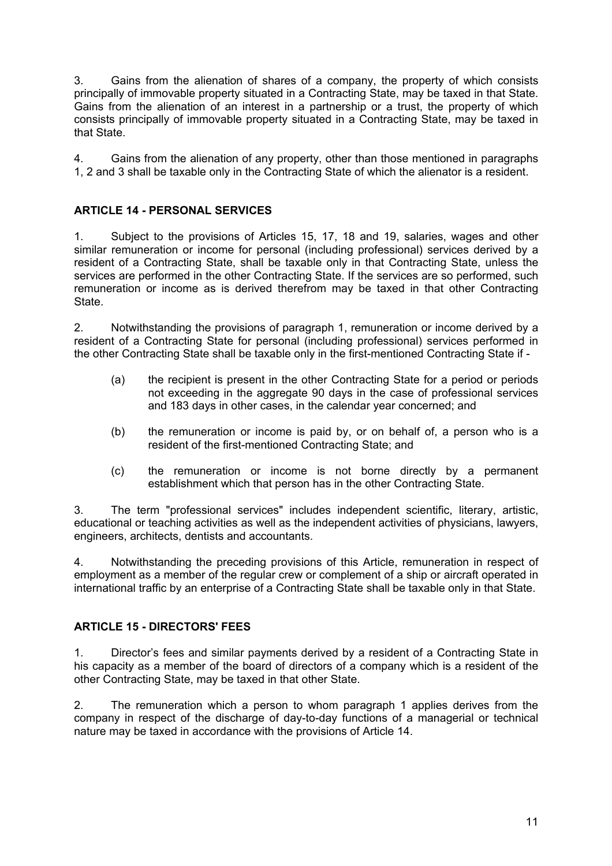3. Gains from the alienation of shares of a company, the property of which consists principally of immovable property situated in a Contracting State, may be taxed in that State. Gains from the alienation of an interest in a partnership or a trust, the property of which consists principally of immovable property situated in a Contracting State, may be taxed in that State.

4. Gains from the alienation of any property, other than those mentioned in paragraphs 1, 2 and 3 shall be taxable only in the Contracting State of which the alienator is a resident.

# **ARTICLE 14 - PERSONAL SERVICES**

1. Subject to the provisions of Articles 15, 17, 18 and 19, salaries, wages and other similar remuneration or income for personal (including professional) services derived by a resident of a Contracting State, shall be taxable only in that Contracting State, unless the services are performed in the other Contracting State. If the services are so performed, such remuneration or income as is derived therefrom may be taxed in that other Contracting State.

2. Notwithstanding the provisions of paragraph 1, remuneration or income derived by a resident of a Contracting State for personal (including professional) services performed in the other Contracting State shall be taxable only in the first-mentioned Contracting State if -

- (a) the recipient is present in the other Contracting State for a period or periods not exceeding in the aggregate 90 days in the case of professional services and 183 days in other cases, in the calendar year concerned; and
- (b) the remuneration or income is paid by, or on behalf of, a person who is a resident of the first-mentioned Contracting State; and
- (c) the remuneration or income is not borne directly by a permanent establishment which that person has in the other Contracting State.

3. The term "professional services" includes independent scientific, literary, artistic, educational or teaching activities as well as the independent activities of physicians, lawyers, engineers, architects, dentists and accountants.

4. Notwithstanding the preceding provisions of this Article, remuneration in respect of employment as a member of the regular crew or complement of a ship or aircraft operated in international traffic by an enterprise of a Contracting State shall be taxable only in that State.

#### **ARTICLE 15 - DIRECTORS' FEES**

1. Director's fees and similar payments derived by a resident of a Contracting State in his capacity as a member of the board of directors of a company which is a resident of the other Contracting State, may be taxed in that other State.

2. The remuneration which a person to whom paragraph 1 applies derives from the company in respect of the discharge of day-to-day functions of a managerial or technical nature may be taxed in accordance with the provisions of Article 14.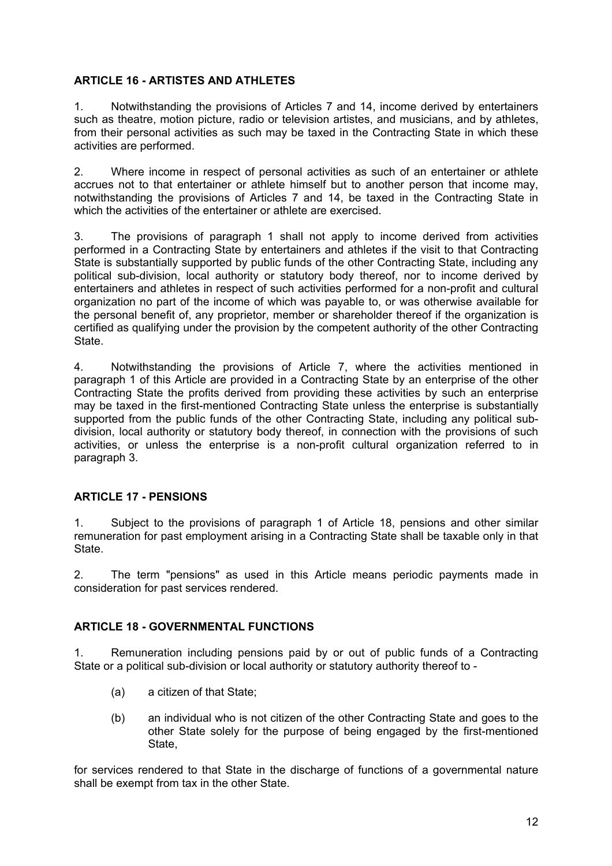### **ARTICLE 16 - ARTISTES AND ATHLETES**

1. Notwithstanding the provisions of Articles 7 and 14, income derived by entertainers such as theatre, motion picture, radio or television artistes, and musicians, and by athletes, from their personal activities as such may be taxed in the Contracting State in which these activities are performed.

2. Where income in respect of personal activities as such of an entertainer or athlete accrues not to that entertainer or athlete himself but to another person that income may, notwithstanding the provisions of Articles 7 and 14, be taxed in the Contracting State in which the activities of the entertainer or athlete are exercised.

3. The provisions of paragraph 1 shall not apply to income derived from activities performed in a Contracting State by entertainers and athletes if the visit to that Contracting State is substantially supported by public funds of the other Contracting State, including any political sub-division, local authority or statutory body thereof, nor to income derived by entertainers and athletes in respect of such activities performed for a non-profit and cultural organization no part of the income of which was payable to, or was otherwise available for the personal benefit of, any proprietor, member or shareholder thereof if the organization is certified as qualifying under the provision by the competent authority of the other Contracting **State** 

4. Notwithstanding the provisions of Article 7, where the activities mentioned in paragraph 1 of this Article are provided in a Contracting State by an enterprise of the other Contracting State the profits derived from providing these activities by such an enterprise may be taxed in the first-mentioned Contracting State unless the enterprise is substantially supported from the public funds of the other Contracting State, including any political subdivision, local authority or statutory body thereof, in connection with the provisions of such activities, or unless the enterprise is a non-profit cultural organization referred to in paragraph 3.

# **ARTICLE 17 - PENSIONS**

1. Subject to the provisions of paragraph 1 of Article 18, pensions and other similar remuneration for past employment arising in a Contracting State shall be taxable only in that **State.** 

2. The term "pensions" as used in this Article means periodic payments made in consideration for past services rendered.

#### **ARTICLE 18 - GOVERNMENTAL FUNCTIONS**

1. Remuneration including pensions paid by or out of public funds of a Contracting State or a political sub-division or local authority or statutory authority thereof to -

- (a) a citizen of that State;
- (b) an individual who is not citizen of the other Contracting State and goes to the other State solely for the purpose of being engaged by the first-mentioned State,

for services rendered to that State in the discharge of functions of a governmental nature shall be exempt from tax in the other State.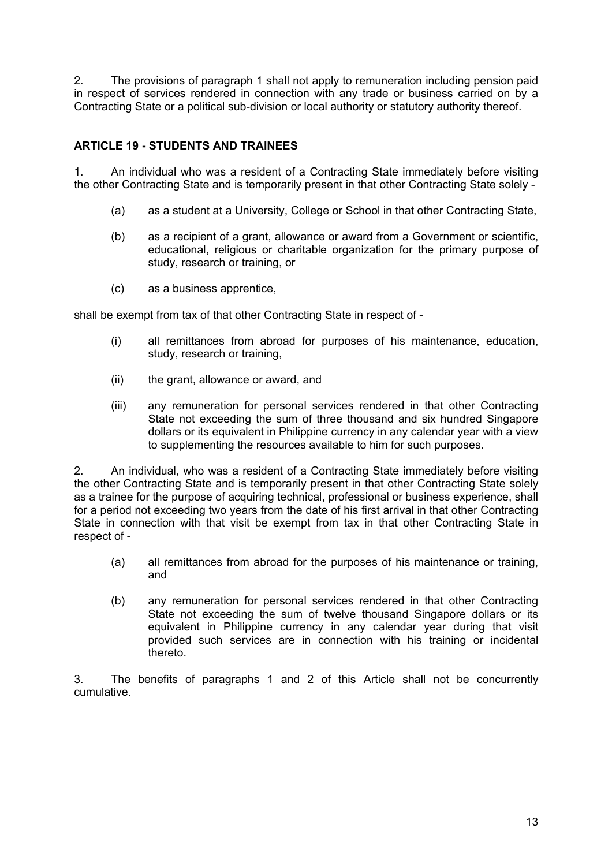2. The provisions of paragraph 1 shall not apply to remuneration including pension paid in respect of services rendered in connection with any trade or business carried on by a Contracting State or a political sub-division or local authority or statutory authority thereof.

# **ARTICLE 19 - STUDENTS AND TRAINEES**

1. An individual who was a resident of a Contracting State immediately before visiting the other Contracting State and is temporarily present in that other Contracting State solely -

- (a) as a student at a University, College or School in that other Contracting State,
- (b) as a recipient of a grant, allowance or award from a Government or scientific, educational, religious or charitable organization for the primary purpose of study, research or training, or
- (c) as a business apprentice,

shall be exempt from tax of that other Contracting State in respect of -

- (i) all remittances from abroad for purposes of his maintenance, education, study, research or training,
- (ii) the grant, allowance or award, and
- (iii) any remuneration for personal services rendered in that other Contracting State not exceeding the sum of three thousand and six hundred Singapore dollars or its equivalent in Philippine currency in any calendar year with a view to supplementing the resources available to him for such purposes.

2. An individual, who was a resident of a Contracting State immediately before visiting the other Contracting State and is temporarily present in that other Contracting State solely as a trainee for the purpose of acquiring technical, professional or business experience, shall for a period not exceeding two years from the date of his first arrival in that other Contracting State in connection with that visit be exempt from tax in that other Contracting State in respect of -

- (a) all remittances from abroad for the purposes of his maintenance or training, and
- (b) any remuneration for personal services rendered in that other Contracting State not exceeding the sum of twelve thousand Singapore dollars or its equivalent in Philippine currency in any calendar year during that visit provided such services are in connection with his training or incidental thereto.

3. The benefits of paragraphs 1 and 2 of this Article shall not be concurrently cumulative.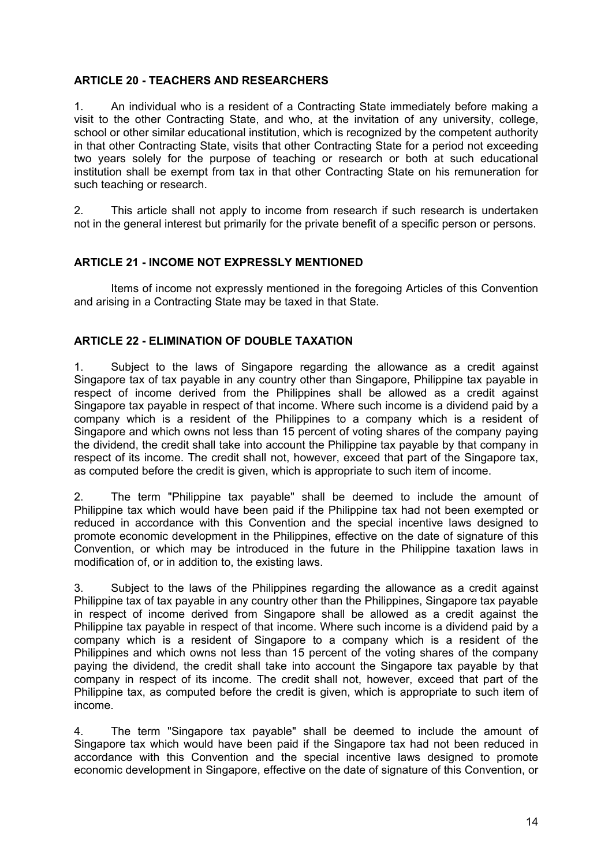### **ARTICLE 20 - TEACHERS AND RESEARCHERS**

1. An individual who is a resident of a Contracting State immediately before making a visit to the other Contracting State, and who, at the invitation of any university, college, school or other similar educational institution, which is recognized by the competent authority in that other Contracting State, visits that other Contracting State for a period not exceeding two years solely for the purpose of teaching or research or both at such educational institution shall be exempt from tax in that other Contracting State on his remuneration for such teaching or research.

2. This article shall not apply to income from research if such research is undertaken not in the general interest but primarily for the private benefit of a specific person or persons.

### **ARTICLE 21 - INCOME NOT EXPRESSLY MENTIONED**

Items of income not expressly mentioned in the foregoing Articles of this Convention and arising in a Contracting State may be taxed in that State.

### **ARTICLE 22 - ELIMINATION OF DOUBLE TAXATION**

1. Subject to the laws of Singapore regarding the allowance as a credit against Singapore tax of tax payable in any country other than Singapore, Philippine tax payable in respect of income derived from the Philippines shall be allowed as a credit against Singapore tax payable in respect of that income. Where such income is a dividend paid by a company which is a resident of the Philippines to a company which is a resident of Singapore and which owns not less than 15 percent of voting shares of the company paying the dividend, the credit shall take into account the Philippine tax payable by that company in respect of its income. The credit shall not, however, exceed that part of the Singapore tax, as computed before the credit is given, which is appropriate to such item of income.

2. The term "Philippine tax payable" shall be deemed to include the amount of Philippine tax which would have been paid if the Philippine tax had not been exempted or reduced in accordance with this Convention and the special incentive laws designed to promote economic development in the Philippines, effective on the date of signature of this Convention, or which may be introduced in the future in the Philippine taxation laws in modification of, or in addition to, the existing laws.

3. Subject to the laws of the Philippines regarding the allowance as a credit against Philippine tax of tax payable in any country other than the Philippines, Singapore tax payable in respect of income derived from Singapore shall be allowed as a credit against the Philippine tax payable in respect of that income. Where such income is a dividend paid by a company which is a resident of Singapore to a company which is a resident of the Philippines and which owns not less than 15 percent of the voting shares of the company paying the dividend, the credit shall take into account the Singapore tax payable by that company in respect of its income. The credit shall not, however, exceed that part of the Philippine tax, as computed before the credit is given, which is appropriate to such item of income.

4. The term "Singapore tax payable" shall be deemed to include the amount of Singapore tax which would have been paid if the Singapore tax had not been reduced in accordance with this Convention and the special incentive laws designed to promote economic development in Singapore, effective on the date of signature of this Convention, or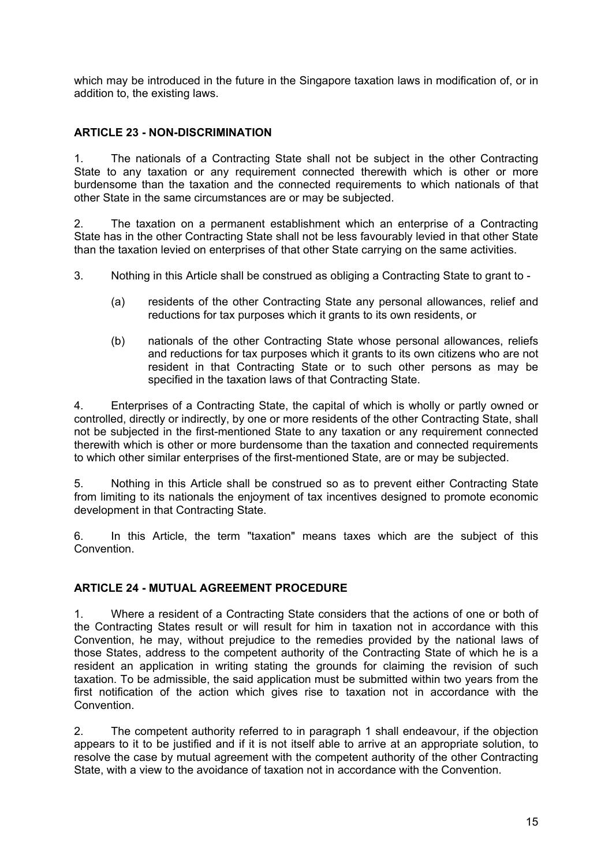which may be introduced in the future in the Singapore taxation laws in modification of, or in addition to, the existing laws.

# **ARTICLE 23 - NON-DISCRIMINATION**

1. The nationals of a Contracting State shall not be subject in the other Contracting State to any taxation or any requirement connected therewith which is other or more burdensome than the taxation and the connected requirements to which nationals of that other State in the same circumstances are or may be subjected.

2. The taxation on a permanent establishment which an enterprise of a Contracting State has in the other Contracting State shall not be less favourably levied in that other State than the taxation levied on enterprises of that other State carrying on the same activities.

- 3. Nothing in this Article shall be construed as obliging a Contracting State to grant to
	- (a) residents of the other Contracting State any personal allowances, relief and reductions for tax purposes which it grants to its own residents, or
	- (b) nationals of the other Contracting State whose personal allowances, reliefs and reductions for tax purposes which it grants to its own citizens who are not resident in that Contracting State or to such other persons as may be specified in the taxation laws of that Contracting State.

4. Enterprises of a Contracting State, the capital of which is wholly or partly owned or controlled, directly or indirectly, by one or more residents of the other Contracting State, shall not be subjected in the first-mentioned State to any taxation or any requirement connected therewith which is other or more burdensome than the taxation and connected requirements to which other similar enterprises of the first-mentioned State, are or may be subjected.

5. Nothing in this Article shall be construed so as to prevent either Contracting State from limiting to its nationals the enjoyment of tax incentives designed to promote economic development in that Contracting State.

6. In this Article, the term "taxation" means taxes which are the subject of this **Convention** 

#### **ARTICLE 24 - MUTUAL AGREEMENT PROCEDURE**

1. Where a resident of a Contracting State considers that the actions of one or both of the Contracting States result or will result for him in taxation not in accordance with this Convention, he may, without prejudice to the remedies provided by the national laws of those States, address to the competent authority of the Contracting State of which he is a resident an application in writing stating the grounds for claiming the revision of such taxation. To be admissible, the said application must be submitted within two years from the first notification of the action which gives rise to taxation not in accordance with the **Convention** 

2. The competent authority referred to in paragraph 1 shall endeavour, if the objection appears to it to be justified and if it is not itself able to arrive at an appropriate solution, to resolve the case by mutual agreement with the competent authority of the other Contracting State, with a view to the avoidance of taxation not in accordance with the Convention.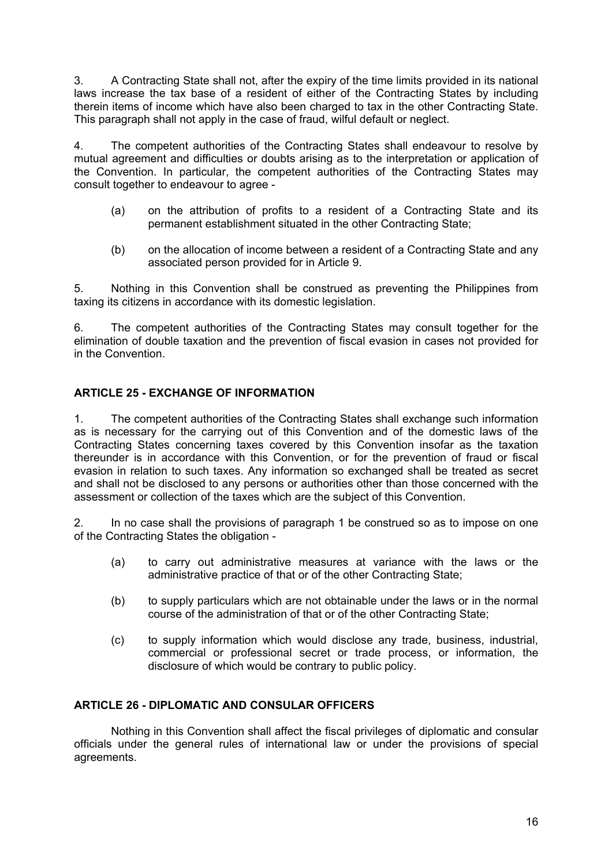3. A Contracting State shall not, after the expiry of the time limits provided in its national laws increase the tax base of a resident of either of the Contracting States by including therein items of income which have also been charged to tax in the other Contracting State. This paragraph shall not apply in the case of fraud, wilful default or neglect.

4. The competent authorities of the Contracting States shall endeavour to resolve by mutual agreement and difficulties or doubts arising as to the interpretation or application of the Convention. In particular, the competent authorities of the Contracting States may consult together to endeavour to agree -

- (a) on the attribution of profits to a resident of a Contracting State and its permanent establishment situated in the other Contracting State;
- (b) on the allocation of income between a resident of a Contracting State and any associated person provided for in Article 9.

5. Nothing in this Convention shall be construed as preventing the Philippines from taxing its citizens in accordance with its domestic legislation.

6. The competent authorities of the Contracting States may consult together for the elimination of double taxation and the prevention of fiscal evasion in cases not provided for in the Convention.

# **ARTICLE 25 - EXCHANGE OF INFORMATION**

1. The competent authorities of the Contracting States shall exchange such information as is necessary for the carrying out of this Convention and of the domestic laws of the Contracting States concerning taxes covered by this Convention insofar as the taxation thereunder is in accordance with this Convention, or for the prevention of fraud or fiscal evasion in relation to such taxes. Any information so exchanged shall be treated as secret and shall not be disclosed to any persons or authorities other than those concerned with the assessment or collection of the taxes which are the subject of this Convention.

2. In no case shall the provisions of paragraph 1 be construed so as to impose on one of the Contracting States the obligation -

- (a) to carry out administrative measures at variance with the laws or the administrative practice of that or of the other Contracting State;
- (b) to supply particulars which are not obtainable under the laws or in the normal course of the administration of that or of the other Contracting State;
- (c) to supply information which would disclose any trade, business, industrial, commercial or professional secret or trade process, or information, the disclosure of which would be contrary to public policy.

# **ARTICLE 26 - DIPLOMATIC AND CONSULAR OFFICERS**

Nothing in this Convention shall affect the fiscal privileges of diplomatic and consular officials under the general rules of international law or under the provisions of special agreements.